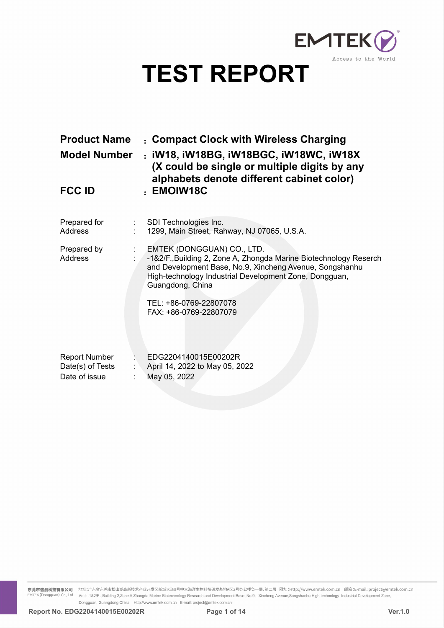

|                                                           | EMTEK(P)                                                                                                                                                   |
|-----------------------------------------------------------|------------------------------------------------------------------------------------------------------------------------------------------------------------|
|                                                           | Access to the World<br><b>TEST REPORT</b>                                                                                                                  |
|                                                           |                                                                                                                                                            |
| <b>Product Name</b>                                       | : Compact Clock with Wireless Charging                                                                                                                     |
| <b>Model Number</b>                                       | : iW18, iW18BG, iW18BGC, iW18WC, iW18X<br>(X could be single or multiple digits by any<br>alphabets denote different cabinet color)                        |
| <b>FCC ID</b>                                             | : EMOIW18C                                                                                                                                                 |
| Prepared for<br>Address                                   | SDI Technologies Inc.<br>1299, Main Street, Rahway, NJ 07065, U.S.A.                                                                                       |
| Prepared by<br>Address                                    | EMTEK (DONGGUAN) CO., LTD.<br>-1&2/F., Building 2, Zone A, Zhongda Marine Biotechnology Reserch<br>and Development Base, No.9, Xincheng Avenue, Songshanhu |
|                                                           | High-technology Industrial Development Zone, Dongguan,<br>Guangdong, China                                                                                 |
|                                                           | TEL: +86-0769-22807078<br>FAX: +86-0769-22807079                                                                                                           |
| <b>Report Number</b><br>Date(s) of Tests<br>Date of issue | EDG2204140015E00202R<br>April 14, 2022 to May 05, 2022<br>May 05, 2022                                                                                     |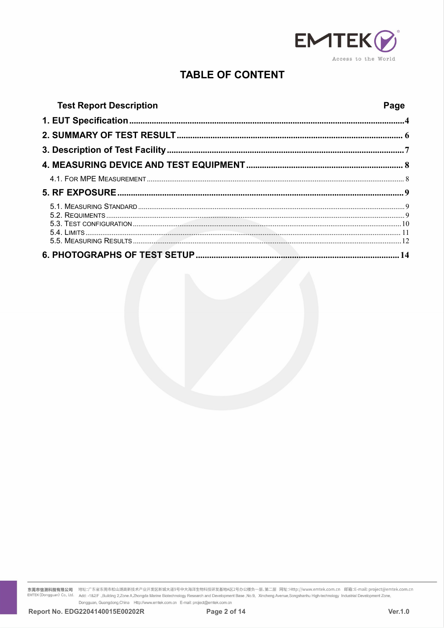

# **TABLE OF CONTENT**

| <b>Test Report Description</b> | Page |
|--------------------------------|------|
|                                |      |
|                                |      |
|                                |      |
|                                |      |
|                                |      |
|                                |      |
|                                |      |
|                                |      |

东莞市信测科技有限公司 地址:广东省东莞市松山湖高新技术产业开发区新城大道9号中大海洋生物科技研发基地A区2号办公楼负一层、第二层 网址:Http://www.emtek.com.cn 邮箱:E-mail: project@emtek.com.cn<br>EMTEK(Dongguan) Co., Ltd. Add: -1&2/F .,Building 2,Zone A.Zhongda Marine Biotechnology Research Add: -1&2/F .,Building 2,Zone A,Zhongda Marine Biotechnology Research and Development Base ,No.9, Xincheng Avenue,Songshanhu High-technology Industrial Development Zone, Dongguan, Guangdong, China Http://www.emtek.com.cn E-mail: project@emtek.com.cn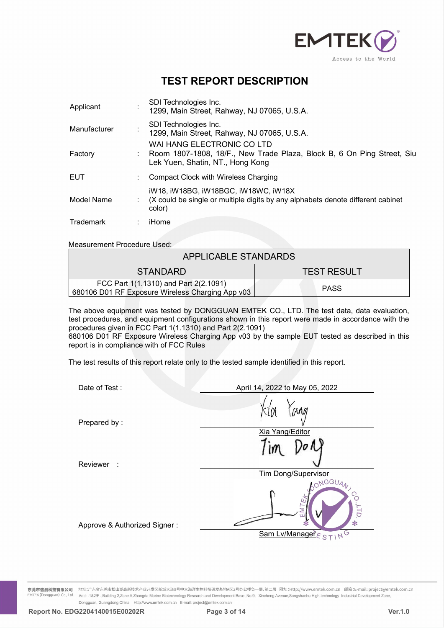

|                                    |                                                                                           | <b>EMTEK</b><br>Access to the World                                             |  |  |
|------------------------------------|-------------------------------------------------------------------------------------------|---------------------------------------------------------------------------------|--|--|
|                                    | <b>TEST REPORT DESCRIPTION</b>                                                            |                                                                                 |  |  |
| Applicant                          | SDI Technologies Inc.<br>1299, Main Street, Rahway, NJ 07065, U.S.A.                      |                                                                                 |  |  |
| Manufacturer                       | SDI Technologies Inc.                                                                     | 1299, Main Street, Rahway, NJ 07065, U.S.A.                                     |  |  |
| Factory                            | WAI HANG ELECTRONIC CO LTD<br>Lek Yuen, Shatin, NT., Hong Kong                            | Room 1807-1808, 18/F., New Trade Plaza, Block B, 6 On Ping Street, Siu          |  |  |
| <b>EUT</b>                         | <b>Compact Clock with Wireless Charging</b>                                               |                                                                                 |  |  |
| Model Name                         | iW18, iW18BG, iW18BGC, iW18WC, iW18X<br>color)                                            | (X could be single or multiple digits by any alphabets denote different cabinet |  |  |
| <b>Trademark</b>                   | iHome                                                                                     |                                                                                 |  |  |
| <b>Measurement Procedure Used:</b> |                                                                                           |                                                                                 |  |  |
|                                    | <b>APPLICABLE STANDARDS</b>                                                               |                                                                                 |  |  |
|                                    | <b>STANDARD</b>                                                                           | <b>TEST RESULT</b>                                                              |  |  |
|                                    | FCC Part 1(1.1310) and Part 2(2.1091)<br>680106 D01 RF Exposure Wireless Charging App v03 | <b>PASS</b>                                                                     |  |  |

| Model Name                                | iW18, iW18BG, iW18BGC, iW18WC, iW18X<br>color)                                              | (X could be single or multiple digits by any alphabets denote different cabinet                                                                                                                                                                                                                     |
|-------------------------------------------|---------------------------------------------------------------------------------------------|-----------------------------------------------------------------------------------------------------------------------------------------------------------------------------------------------------------------------------------------------------------------------------------------------------|
| Trademark                                 | iHome                                                                                       |                                                                                                                                                                                                                                                                                                     |
| <b>Measurement Procedure Used:</b>        |                                                                                             |                                                                                                                                                                                                                                                                                                     |
|                                           | APPLICABLE STANDARDS                                                                        |                                                                                                                                                                                                                                                                                                     |
|                                           | <b>STANDARD</b>                                                                             | <b>TEST RESULT</b>                                                                                                                                                                                                                                                                                  |
|                                           | FCC Part 1(1.1310) and Part 2(2.1091)<br>680106 D01 RF Exposure Wireless Charging App v03   | <b>PASS</b>                                                                                                                                                                                                                                                                                         |
| report is in compliance with of FCC Rules | procedures given in FCC Part 1(1.1310) and Part 2(2.1091)                                   | The above equipment was tested by DONGGUAN EMTEK CO., LTD. The test data, data evaluation,<br>test procedures, and equipment configurations shown in this report were made in accordance with the<br>680106 D01 RF Exposure Wireless Charging App v03 by the sample EUT tested as described in this |
|                                           | The test results of this report relate only to the tested sample identified in this report. |                                                                                                                                                                                                                                                                                                     |
| Date of Test:                             |                                                                                             | April 14, 2022 to May 05, 2022<br>$\sim$ $\sim$                                                                                                                                                                                                                                                     |

|                                           | FCC Part 1(1.1310) and Part 2(2.1091)<br>680106 D01 RF Exposure Wireless Charging App v03                                                                                                                                                                                                                                                                                                                     |              | <b>PASS</b>                                             |                |
|-------------------------------------------|---------------------------------------------------------------------------------------------------------------------------------------------------------------------------------------------------------------------------------------------------------------------------------------------------------------------------------------------------------------------------------------------------------------|--------------|---------------------------------------------------------|----------------|
|                                           | The above equipment was tested by DONGGUAN EMTEK CO., LTD. The test data, data evaluation,<br>test procedures, and equipment configurations shown in this report were made in accordance with the<br>procedures given in FCC Part 1(1.1310) and Part 2(2.1091)<br>680106 D01 RF Exposure Wireless Charging App v03 by the sample EUT tested as described in this<br>report is in compliance with of FCC Rules |              |                                                         |                |
|                                           | The test results of this report relate only to the tested sample identified in this report.                                                                                                                                                                                                                                                                                                                   |              |                                                         |                |
|                                           | Date of Test:                                                                                                                                                                                                                                                                                                                                                                                                 |              | April 14, 2022 to May 05, 2022                          |                |
|                                           | Prepared by:                                                                                                                                                                                                                                                                                                                                                                                                  |              | MN<br>Xia Yang/Editor                                   |                |
|                                           | Reviewer :                                                                                                                                                                                                                                                                                                                                                                                                    |              | <b>Tim Dong/Supervisor</b>                              |                |
|                                           | Approve & Authorized Signer:                                                                                                                                                                                                                                                                                                                                                                                  |              | ONGGUAN<br>d<br>Sam Lv/Manager $\varepsilon_{S\top}$ NG |                |
| 东莞市信测科技有限公司<br>:MTEK (Dongguan) Co., Ltd. | 地址:广东省东莞市松山湖高新技术产业开发区新城大道9号中大海洋生物科技研发基地A区2号办公楼负一层、第二层 网址:Http://www.emtek.com.cn 邮箱:E-mail: project@emtek.com.cn<br>Add: -1&2/F .,Building 2,Zone A,Zhongda Marine Biotechnology Research and Development Base ,No.9, Xincheng Avenue,Songshanhu High-technology Industrial Development Zone,                                                                                                                 |              |                                                         |                |
|                                           | Dongguan, Guangdong, China Http://www.emtek.com.cn E-mail: project@emtek.com.cn<br>Report No. EDG2204140015E00202R                                                                                                                                                                                                                                                                                            | Page 3 of 14 |                                                         | <b>Ver.1.0</b> |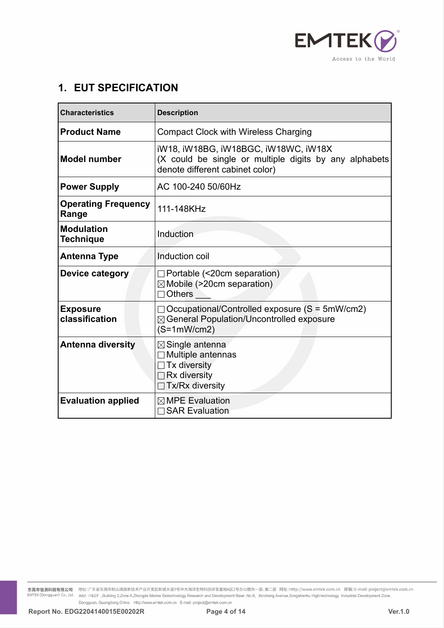

| <b>1. EUT SPECIFICATION</b>           | EMTEK <sup>(2</sup><br>Access to the World                                                                                        |
|---------------------------------------|-----------------------------------------------------------------------------------------------------------------------------------|
| <b>Characteristics</b>                | <b>Description</b>                                                                                                                |
| <b>Product Name</b>                   | <b>Compact Clock with Wireless Charging</b>                                                                                       |
| <b>Model number</b>                   | iW18, iW18BG, iW18BGC, iW18WC, iW18X<br>(X could be single or multiple digits by any alphabets<br>denote different cabinet color) |
| <b>Power Supply</b>                   | AC 100-240 50/60Hz                                                                                                                |
| <b>Operating Frequency</b><br>Range   | 111-148KHz                                                                                                                        |
| <b>Modulation</b><br><b>Technique</b> | Induction                                                                                                                         |
| <b>Antenna Type</b>                   | Induction coil                                                                                                                    |
| Device category                       | $\Box$ Portable (<20cm separation)<br>$\boxtimes$ Mobile (>20cm separation)<br>Others                                             |
| <b>Exposure</b><br>classification     | $\Box$ Occupational/Controlled exposure (S = 5mW/cm2)<br>⊠ General Population/Uncontrolled exposure<br>$(S=1mW/cm2)$              |
| <b>Antenna diversity</b>              | $\boxtimes$ Single antenna<br>Multiple antennas<br>Tx diversity<br>Rx diversity<br>Tx/Rx diversity                                |
| <b>Evaluation applied</b>             | $\boxtimes$ MPE Evaluation<br><b>SAR Evaluation</b>                                                                               |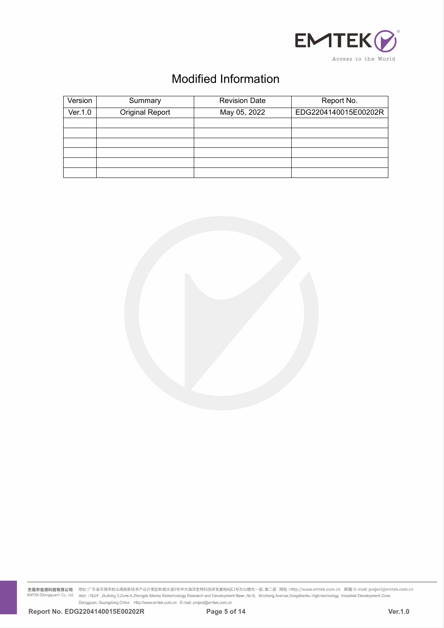

|         |                        |                             | EMTEK <sup>O</sup><br>Access to the World |
|---------|------------------------|-----------------------------|-------------------------------------------|
|         |                        |                             |                                           |
|         |                        | <b>Modified Information</b> |                                           |
| Version | Summary                | <b>Revision Date</b>        | Report No.                                |
| Ver.1.0 | <b>Original Report</b> | May 05, 2022                | EDG2204140015E00202R                      |
|         |                        |                             |                                           |
|         |                        |                             |                                           |
|         |                        |                             |                                           |

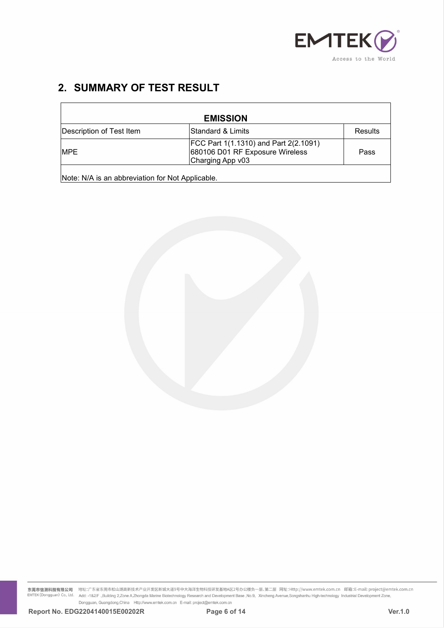

|                                  | EMTEK()                      |
|----------------------------------|------------------------------|
| <b>2. SUMMARY OF TEST RESULT</b> | Access to the World          |
|                                  | <b>EMISSION</b>              |
| Description of Test Item         | Standard & Limits<br>Results |

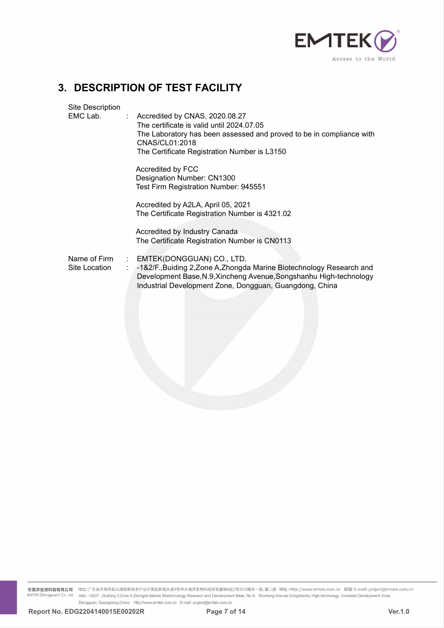

|    |                               | <b>EMTEK</b><br>Access to the World                                                                                                                                                                                                 |
|----|-------------------------------|-------------------------------------------------------------------------------------------------------------------------------------------------------------------------------------------------------------------------------------|
| 3. |                               | <b>DESCRIPTION OF TEST FACILITY</b>                                                                                                                                                                                                 |
|    | Site Description<br>EMC Lab.  | : Accredited by CNAS, 2020.08.27<br>The certificate is valid until 2024.07.05<br>The Laboratory has been assessed and proved to be in compliance with<br>CNAS/CL01:2018<br>The Certificate Registration Number is L3150             |
|    |                               | Accredited by FCC<br>Designation Number: CN1300<br>Test Firm Registration Number: 945551                                                                                                                                            |
|    |                               | Accredited by A2LA, April 05, 2021<br>The Certificate Registration Number is 4321.02                                                                                                                                                |
|    |                               | Accredited by Industry Canada<br>The Certificate Registration Number is CN0113                                                                                                                                                      |
|    | Name of Firm<br>Site Location | EMTEK(DONGGUAN) CO., LTD.<br>-1&2/F., Buiding 2, Zone A, Zhongda Marine Biotechnology Research and<br>Development Base, N.9, Xincheng Avenue, Songshanhu High-technology<br>Industrial Development Zone, Dongguan, Guangdong, China |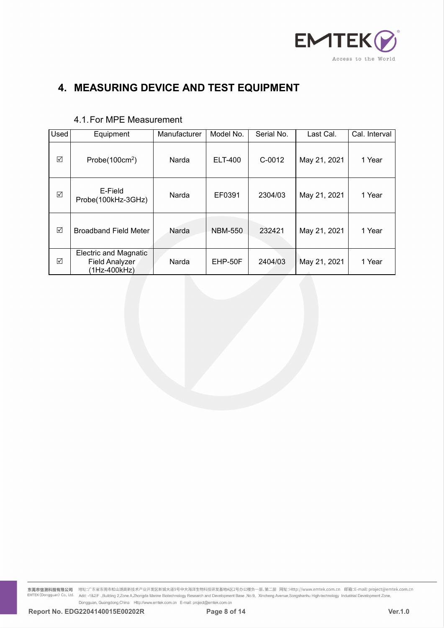

|           | EMTEK <sub>(</sub><br>Access to the World<br>4. MEASURING DEVICE AND TEST EQUIPMENT |                       |                             |                      |                           |               |  |
|-----------|-------------------------------------------------------------------------------------|-----------------------|-----------------------------|----------------------|---------------------------|---------------|--|
|           | 4.1. For MPE Measurement                                                            |                       |                             |                      |                           | Cal. Interval |  |
| Used<br>☑ | Equipment<br>Probe $(100cm2)$                                                       | Manufacturer<br>Narda | Model No.<br><b>ELT-400</b> | Serial No.<br>C-0012 | Last Cal.<br>May 21, 2021 | 1 Year        |  |
| $\sqrt{}$ | E-Field<br>Probe(100kHz-3GHz)                                                       | Narda                 | EF0391                      | 2304/03              | May 21, 2021              | 1 Year        |  |
| $\Delta$  | <b>Broadband Field Meter</b>                                                        | Narda                 | <b>NBM-550</b>              | 232421               | May 21, 2021              | 1 Year        |  |
| $\sqrt{}$ | <b>Electric and Magnatic</b><br><b>Field Analyzer</b><br>(1Hz-400kHz)               | Narda                 | EHP-50F                     | 2404/03              | May 21, 2021              | 1 Year        |  |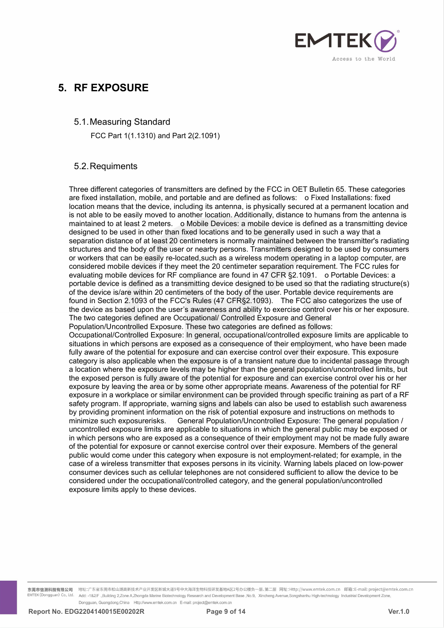

**5. RF EXPOSURE**<br>
5.1. Measuring Standard<br>
FCC Part 1(1.1310) and Part 2(2.1091) RF EXPOSURE<br>5.1. Measuring Standard<br>FCC Part 1(1.1310) and Part 2(2.1091)<br>5.2. Requiments EXPOSURE<br>Measuring Standard<br>FCC Part 1(1.1310) and Part 2(2.1091)<br>Requiments

# 5.2.Requiments

**RF EXPOSURE**<br>
5.1. Measuring Standard<br>
FCC Part 1(1.1310) and Part 2(2.1091)<br>
5.2. Requiments<br>
Three different categories of transmitters are defined by the FCC in OET Bulletin 65. These categories<br>
are fixed installation **EXECT SOONLE**<br>
FCC Part 1(1.1310) and Part 2(2.1091)<br>
5.2. Requiments<br>
Three different categories of transmitters are defined by the FCC in OET Bulletin 65. These categories<br>
are fixed installation, mobile, and portable a 5.1. Measuring Standard<br>
FCC Part 1(1.1310) and Part 2(2.1091)<br>
5.2. Requiments<br>
Three different categories of transmitters are defined by the FCC in OET Bulletin 65. These categories<br>
are fixed installation, mobile, and p 5.1. Measuring Standard<br>
FCC Part 1(1.1310) and Part 2(2.1091)<br>
5.2. Requiments<br>
Three different categories of transmitters are defined by the FCC in OET Bulletin 65. These categories<br>
are fixed installation, mobile, and p 5.1. Measuring Standard<br>
FCC Part 1(1.1310) and Part 2(2.1091)<br>
5.2. Requiments<br>
Three different categories of transmitters are defined by the FCC in OET Bulletin 65. These categories<br>
are fixed installation, mobile, and p 3.1. I weasuring Stantiand<br>
FCC Part 1(1.1310) and Part 2(2.1091)<br>
5.2. Requiments<br>
Three different categories of transmitters are defined by the FCC in OET Bulletin 65. These categories<br>
are fixed installation, mobile, an FCC Part 1(1.1310) and Part 2(2.1091)<br>
5.2. Requiments<br>
Three different categories of transmitters are defined by the FCC in OET Bulletin 65. These categories<br>
are fixed installation, mobile, and portable and are defined a 5.2. Requiments<br>Three different categories of transmitters are defined by the FCC in OET Bulletin 65. These categories<br>are fixed installation, mobile, and portable and are defined as follows: or Fixed Installations: fixed<br> 5.2. Requiments<br>Three different categories of transmitters are defined by the FCC in OET Bulletin 65. These categories<br>are fixed installation, mobile, and portable and are defined as follows: of Fixed Installations: fixed 5.2. Requiments<br>Three different categories of transmitters are defined by the FCC in OET Bulletin 65. These categories<br>are fixed installation, mobile, and portable and are defined as follows:  $\circ$  Fixed Installations: fix 5.2. Requirinents<br>Three different categories of transmitters are defined by the FCC in OET Bulletin 65. These categories<br>are fixed installation, mobile, and portable and are defined as follows: of Fixed Installations: fix Three different categories of transmitters are defined by the FCC in OET Bulletin 65. These categories<br>are fixed installation, mobile, and portable and are defined as follows: offixed Installations: fixed<br>location means th Three different categories of transmitters are defined by the FCC in OET Bulletin 65. These categories<br>are fixed installation, mobile, and portable and are defined as follows: offixed linstallations: fixed<br>location means t For the matter is considered to the control of the section, and the section and a completed as follows: To Fixed Installations: fixed location means that the device, including its antenna, is physically secured at a perman the device is defined as a transmitting device designed to the axer awareness that the device, including its antenna, is physically secured at a permanent location and<br>is not able to be easily moved to another location. Ad is and the two castes defined are considered are accupationally, distance to humans from the antenna is maintained to at least 2 meters. O Mobile Devices: a mobile device is defined as a transmitting device designed to be oritical to at eaction and the production and the exposure. The exposure of the site and the controlled exporation is that are separation distance of at least 2 meters is ombile Devices: a mobile device is defined as a tra member of a the boot of the user is a controlled and the sense of the exposure in a controlled limits, but<br>alcosigned to be used in other than fixed locations and to be generally used in such a way that a<br>separation distan separation distance of at least 20 centimeters is normally maintained between the transmitter's radiating<br>structures and the body of the user or nearby persons. Transmitters designed to be used by consumers<br>or oworkers tha structures and the body of the user or nearby persons. Transmitters designed to be used by consumers<br>or workers that can be easily re-located such as a wireless modern operating in a laptop computer, are<br>considered mobile considered move is also applicable when the exposure is a considered through specific training and the exposure is a transiented mobile device is defined as a transmitting device designed to be used so that the radiating s a considered mobile devices if they meet the 20 centimeter separation requirement. The FCC rules for evaluating mobile devices if they meet the 20 centimeter separation requirement. The FCC rules for evaluating ordial evic exposure the potential for exposure and can express the potential for RF<br>exposed provide exposed by the positive designed to be used so that the radiating structure(s)<br>of the device is defined as a transmitting device desi exposure is defined as a transmitting device designed to be used so that the radiating structure(s) of the device is/are within 20 centimeters of the body of the user. Portable device requirements are of four in Section 2. positive differed and a continuous control of the such as the sect to train the device fequirements are formula in Section 2.1093 of the FCC's Rules (47 CFR§2.1093). The FCC also categorizes the use of the device as based or and control over the prospect of the receiver of the receiver of the receiver of the receiver as based upon the user's awareness and ability to exercise control over his or her exposure. The force as based upon the user by the discussion of the search in the search in the device as based upon the user's awareness and ability to exercise control over his or her exposure. The two categories defined are Occupational/Controlled Exposure and G The two categories defined are Occupational/Controlled Exposure and General<br>
Population/Uncontrolled Exposure. These two categories are defined as follows:<br>
Occupational/Controlled Exposure: In general, occupational/contro not the method is a conserved as a conserved or their employment may not the general case of a winch publication in which public that altations in which public that in the situations in which public that in the stopsed as Cocupational/Controlled Exposure: In general, occupational/controlled exposure limits are applicable to situations in which persons are exposed as a consequence of their employment, who have been made reductions in which p or our montrolled exposure in the potential for exponent and the general of their exposure. This exposure in the divily aware of the potential for exposure and can exercise control over their exposure. This exposure catego exame the posside of the potential for exposure and can exercise control over their exposure. This exposure<br>category is also applicable when the exposure is of a transient nature due to incidental passage through<br>a locatio case of the expose of the pother and the expose is of a transient nature due to incidental passage through a location where the exposure levels may be higher than the general population/uncontrolled limits, but the exposed consumer the exposure are not your expression. The secule that the sense of the position where the exposure levels may be higher than the general population/uncontrolled limits, but the exposure presoure levels may be high able exposed person is fully aware of the potential for exposure and can exercise control over his or her exposure in a workplace or sy some other appropriate means. Awareness of the potential for RF exposure in a workplac exposure by leaving the area or by some other appropriate mean exposure by leaving the area or by some other appropriate mean exposure in a workplace or similar environment can be provided safety program. If appropriate, w

**常業市信測科技有限公司** 地址:广东省东美市松山湖高新技术产业开发区新辑大道9号中大海洋生物科技研发基地A区2号办公楼负一层、第二层 网址:Http://www.emtek.com.cn 部籍:E-mail: project@emtek.com.cn<br>Intersectionsguant) Co., tdd. - 1427: .Buitding 2.Zone AZhongda Marine Buserbooky Besserat an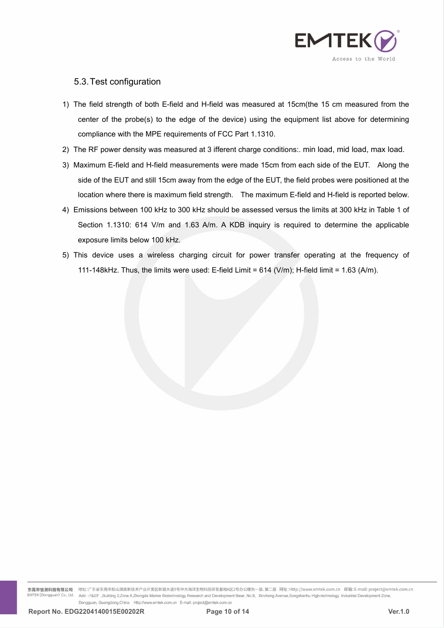

- 5.3. Test configuration<br>The field strength of both E-field and H-field was mead<br>center of the probe(s) to the edge of the device) us 5.3. Test configuration<br>
1) The field strength of both E-field and H-field was measured at 15cm(the 15 cm measured from the<br>
center of the probe(s) to the edge of the device) using the equipment list above for determining<br> CENTEK COMBINET Access to the World Access to the World Access to the World Access to the World Access to the edge of the device) using the equipment list above for determining compliance with the MPE requirements of FCC P i.3. Test configuration<br>he field strength of both E-field and H-field was measured at 15cm(the 15 cm meas<br>center of the probe(s) to the edge of the device) using the equipment list above for<br>compliance with the MPE require 2) The RF power density was measured at 3 ifferent charge conditions:. min load, mid load, max load.<br>2) The RF power density was measured at 3 ifferent charge conditions:. min load, mid load, max load.<br>3) Maximum E-field a
- 
- S.3. Test configuration<br>
1) The field strength of both E-field and H-field was measured at 15cm (the 15 cm measured from the<br>
center of the probe(s) to the edge of the device) using the equipment list above for determining i.3. Test configuration<br>the field strength of both E-field and H-field was measured at 15cm(the 15 cm measured from the<br>center of the probe(s) to the edge of the device) using the equipment list above for determining<br>compl be field strength of both E-field and H-field was measured at 15cm(the 15 cm measured from the center of the probe(s) to the edge of the device) using the equipment list above for determining compliance with the MPE requir 1) The field strength of both E-field and H-field was measured at 15cm(the 15 cm measured from the center of the probe(s) to the edge of the device) using the equipment list above for determining compliance with the MPE r center of the probe(s) to the edge of the device) using the equipment list above for determining<br>compliance with the MPE requirements of FCC Part 1.1310.<br>he RF power density was measured at 3 ifferent charge conditions:. m compliance with the MPE requirements of FCC Part 1.1310.<br>he RF power density was measured at 3 ifferent charge cond<br>haximum E-field and H-field measurements were made 15cn<br>side of the EUT and still 15cm away from the edge 2) The RF power density was measured at 3 ifferent charge conditions:. min load, mid load, max load.<br>
3) Maximum E-field and H-field measurements were made 15cm from each side of the EUT. Along the<br>
side of the EUT and st
- flaximum E-field and H-field measurements were made 15cm from each side of the EUT. Along the side of the EUT and still 15cm away from the edge of the EUT, the field probes were positioned at the location where there is ma
- 

**常業市信測科技有限公司** 地址:广东省东美市松山湖高新技术产业开发区新辑大道9号中大海洋生物科技研发基地A区2号办公楼负一层、第二层 网址:Http://www.emtek.com.cn 部籍:E-mail: project@emtek.com.cn<br>Intersectionsguant) Co., tdd. - 1427: .Buitding 2.Zone AZhongda Marine Buserbooky Besserat an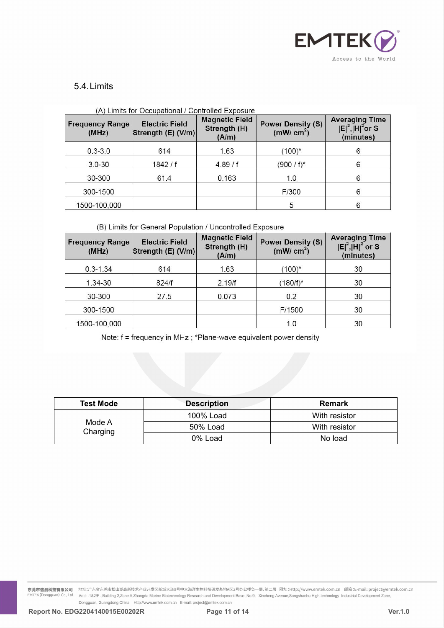

# 5.4.Limits

| <b>Frequency Range</b><br>(MHz) | <b>Electric Field</b><br>Strength (E) (V/m) | <b>Magnetic Field</b><br>Strength (H)<br>(A/m) | <b>Power Density (S)</b><br>( $mW/cm2$ ) | <b>Averaging Time</b><br>$ E ^2$ , $ H ^2$ or S<br>(minutes) |
|---------------------------------|---------------------------------------------|------------------------------------------------|------------------------------------------|--------------------------------------------------------------|
| $0.3 - 3.0$                     | 614                                         | 1.63                                           | $(100)^{*}$                              | 6                                                            |
| $3.0 - 30$                      | 1842/f                                      | 4.89/f                                         | (900 / f)*                               | 6                                                            |
| 30-300                          | 61.4                                        | 0.163                                          | 1.0                                      | 6                                                            |
| 300-1500                        |                                             |                                                | F/300                                    | 6                                                            |
| 1500-100,000                    |                                             |                                                | 5                                        | 6                                                            |

# $\mathbf{A}$   $\mathbf{A}$   $\mathbf{B}$   $\mathbf{B}$   $\mathbf{B}$   $\mathbf{B}$   $\mathbf{B}$

# (B) Limits for General Population / Uncontrolled Exposure

| <b>Frequency Range</b><br>(MHz) | <b>Electric Field</b><br>Strength (E) (V/m) | <b>Magnetic Field</b><br>Strength (H)<br>(A/m) | <b>Power Density (S)</b><br>( $mW/cm2$ ) | <b>Averaging Time</b><br>$ E ^2$ , $ H ^2$ or S<br>(minutes) |
|---------------------------------|---------------------------------------------|------------------------------------------------|------------------------------------------|--------------------------------------------------------------|
| $0.3 - 1.34$                    | 614                                         | 1.63                                           | $(100)^{*}$                              | 30                                                           |
| 1.34-30                         | 824/f                                       | 2.19/f                                         | $(180/f)^*$                              | 30                                                           |
| 30-300                          | 27.5                                        | 0.073                                          | 0.2                                      | 30                                                           |
| 300-1500                        |                                             |                                                | F/1500                                   | 30                                                           |
| 1500-100,000                    |                                             |                                                | 1.0                                      | 30                                                           |

| 30-300             | 27.5 | 0.073              | 0.2                                                              | 30            |
|--------------------|------|--------------------|------------------------------------------------------------------|---------------|
| 300-1500           |      |                    | F/1500                                                           | 30            |
| 1500-100,000       |      |                    | 1.0                                                              | 30            |
|                    |      |                    | Note: f = frequency in MHz; *Plane-wave equivalent power density |               |
|                    |      |                    |                                                                  |               |
|                    |      |                    |                                                                  |               |
|                    |      |                    |                                                                  |               |
|                    |      |                    |                                                                  |               |
|                    |      |                    |                                                                  |               |
|                    |      | <b>Description</b> |                                                                  | <b>Remark</b> |
| <b>Test Mode</b>   |      | 100% Load          |                                                                  | With resistor |
| Mode A<br>Charging |      | 50% Load           |                                                                  | With resistor |

**余第市信測科技有限公司** 地址:广东省东美市松山湖高新技术产业开发区新辑大道9号中大海洋生物科技研发基地A区2号办公楼负一层、第二层 网址:Http://www.emtek.com.cn 部籍:E-mail: project@emtek.com.cn<br>Intersectionsguant) Co., tdd. - 1427: .Buitding 2.Zone AZhongda Marine Botednohogy Research a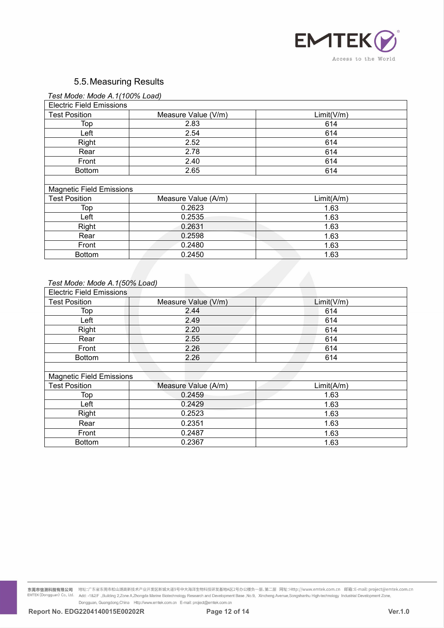

| Test Mode: Mode A.1(100% Load) |  |  |
|--------------------------------|--|--|

|                                 |                     | EMTEK <sub>(</sub>  |
|---------------------------------|---------------------|---------------------|
|                                 |                     |                     |
|                                 |                     | Access to the World |
|                                 |                     |                     |
| 5.5. Measuring Results          |                     |                     |
|                                 |                     |                     |
| Test Mode: Mode A.1(100% Load)  |                     |                     |
| <b>Electric Field Emissions</b> |                     |                     |
| <b>Test Position</b>            | Measure Value (V/m) | Limit(V/m)          |
| Top                             | 2.83<br>2.54        | 614                 |
| Left                            | 2.52                | 614<br>614          |
| Right                           | 2.78                |                     |
| Rear                            | 2.40                | 614                 |
| Front                           |                     | 614                 |
| <b>Bottom</b>                   | 2.65                | 614                 |
| <b>Magnetic Field Emissions</b> |                     |                     |
| <b>Test Position</b>            | Measure Value (A/m) | Limit(A/m)          |
| Top                             | 0.2623              | 1.63                |
| Left                            | 0.2535              | 1.63                |
| Right                           | 0.2631              | 1.63                |
| Rear                            | 0.2598              | 1.63                |
| Front                           | 0.2480              | 1.63                |
| <b>Bottom</b>                   | 0.2450              | 1.63                |
|                                 |                     |                     |
|                                 |                     |                     |
| Test Mode: Mode A.1(50% Load)   |                     |                     |
| <b>Electric Field Emissions</b> |                     |                     |
| <b>Test Position</b>            | Measure Value (V/m) | Limit(V/m)          |
| Top                             | 2.44                | 614                 |
| Left                            | 2.49                | 614                 |
| Right                           | 2.20                | 614                 |
| Rear                            | 255                 | 614                 |

| Test Mode: Mode A.1(50% Load)   |                     |            |
|---------------------------------|---------------------|------------|
| <b>Electric Field Emissions</b> |                     |            |
| <b>Test Position</b>            | Measure Value (V/m) | Limit(V/m) |
| Top                             | 2.44                | 614        |
| Left                            | 2.49                | 614        |
| Right                           | 2.20                | 614        |
| Rear                            | 2.55                | 614        |
| Front                           | 2.26                | 614        |
| <b>Bottom</b>                   | 2.26                | 614        |
|                                 |                     |            |
| <b>Magnetic Field Emissions</b> |                     |            |
| <b>Test Position</b>            | Measure Value (A/m) | Limit(A/m) |
| Top                             | 0.2459              | 1.63       |
| Left                            | 0.2429              | 1.63       |
| Right                           | 0.2523              | 1.63       |
| Rear                            | 0.2351              | 1.63       |
| Front                           | 0.2487              | 1.63       |
| <b>Bottom</b>                   | 0.2367              | 1.63       |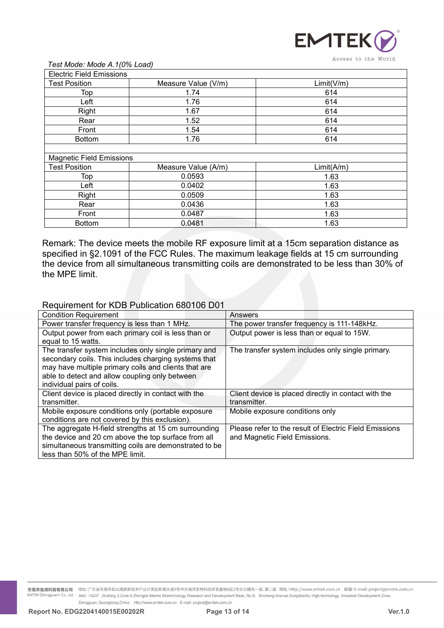

| Test Mode: Mode A.1(0% Load)                                              |                                                          | <b>EMTEK</b><br>Access to the World                                                                                                                                                                                                                                                                                             |
|---------------------------------------------------------------------------|----------------------------------------------------------|---------------------------------------------------------------------------------------------------------------------------------------------------------------------------------------------------------------------------------------------------------------------------------------------------------------------------------|
| <b>Electric Field Emissions</b>                                           |                                                          |                                                                                                                                                                                                                                                                                                                                 |
| <b>Test Position</b>                                                      | Measure Value (V/m)                                      | Limit(V/m)                                                                                                                                                                                                                                                                                                                      |
| Top                                                                       | 1.74                                                     | 614                                                                                                                                                                                                                                                                                                                             |
| Left                                                                      | 1.76                                                     | 614                                                                                                                                                                                                                                                                                                                             |
| Right                                                                     | 1.67                                                     | 614                                                                                                                                                                                                                                                                                                                             |
| Rear                                                                      | 1.52                                                     | 614                                                                                                                                                                                                                                                                                                                             |
| Front                                                                     | 1.54                                                     | 614                                                                                                                                                                                                                                                                                                                             |
| <b>Bottom</b>                                                             | 1.76                                                     | 614                                                                                                                                                                                                                                                                                                                             |
|                                                                           |                                                          |                                                                                                                                                                                                                                                                                                                                 |
| <b>Magnetic Field Emissions</b>                                           |                                                          |                                                                                                                                                                                                                                                                                                                                 |
| <b>Test Position</b>                                                      | Measure Value (A/m)                                      | Limit(A/m)                                                                                                                                                                                                                                                                                                                      |
|                                                                           |                                                          |                                                                                                                                                                                                                                                                                                                                 |
|                                                                           |                                                          |                                                                                                                                                                                                                                                                                                                                 |
|                                                                           |                                                          |                                                                                                                                                                                                                                                                                                                                 |
|                                                                           |                                                          |                                                                                                                                                                                                                                                                                                                                 |
|                                                                           |                                                          |                                                                                                                                                                                                                                                                                                                                 |
|                                                                           |                                                          |                                                                                                                                                                                                                                                                                                                                 |
| Top<br>Left<br>Right<br>Rear<br>Front<br><b>Bottom</b>                    | 0.0593<br>0.0402<br>0.0509<br>0.0436<br>0.0487<br>0.0481 | 1.63<br>1.63<br>1.63<br>1.63<br>1.63<br>1.63<br>Remark: The device meets the mobile RF exposure limit at a 15cm separation distance as<br>specified in §2.1091 of the FCC Rules. The maximum leakage fields at 15 cm surrounding<br>the device from all simultaneous transmitting coils are demonstrated to be less than 30% of |
| the MPE limit.                                                            |                                                          |                                                                                                                                                                                                                                                                                                                                 |
|                                                                           |                                                          |                                                                                                                                                                                                                                                                                                                                 |
|                                                                           |                                                          |                                                                                                                                                                                                                                                                                                                                 |
|                                                                           |                                                          |                                                                                                                                                                                                                                                                                                                                 |
| Requirement for KDB Publication 680106 D01                                |                                                          |                                                                                                                                                                                                                                                                                                                                 |
| <b>Condition Requirement</b>                                              |                                                          | Answers                                                                                                                                                                                                                                                                                                                         |
| Power transfer frequency is less than 1 MHz.                              |                                                          | The power transfer frequency is 111-148kHz.                                                                                                                                                                                                                                                                                     |
| Output power from each primary coil is less than or<br>equal to 15 watts. |                                                          | Output power is less than or equal to 15W.                                                                                                                                                                                                                                                                                      |
| The transfer system includes only single primary and                      |                                                          | The transfer system includes only single primary                                                                                                                                                                                                                                                                                |

| ו שטו                                                                                                                                | 0.v <del>.</del> v                                                                                             | טט.ו                                                                                                                                                                                                                                                                            |
|--------------------------------------------------------------------------------------------------------------------------------------|----------------------------------------------------------------------------------------------------------------|---------------------------------------------------------------------------------------------------------------------------------------------------------------------------------------------------------------------------------------------------------------------------------|
| Front                                                                                                                                | 0.0487                                                                                                         | 1.63                                                                                                                                                                                                                                                                            |
| <b>Bottom</b>                                                                                                                        | 0.0481                                                                                                         | 1.63                                                                                                                                                                                                                                                                            |
| the MPE limit.                                                                                                                       |                                                                                                                | Remark: The device meets the mobile RF exposure limit at a 15cm separation distance as<br>specified in §2.1091 of the FCC Rules. The maximum leakage fields at 15 cm surrounding<br>the device from all simultaneous transmitting coils are demonstrated to be less than 30% of |
|                                                                                                                                      | Requirement for KDB Publication 680106 D01                                                                     |                                                                                                                                                                                                                                                                                 |
| <b>Condition Requirement</b>                                                                                                         |                                                                                                                | Answers                                                                                                                                                                                                                                                                         |
| Power transfer frequency is less than 1 MHz.                                                                                         |                                                                                                                | The power transfer frequency is 111-148kHz.                                                                                                                                                                                                                                     |
| Output power from each primary coil is less than or<br>equal to 15 watts.                                                            |                                                                                                                | Output power is less than or equal to 15W.                                                                                                                                                                                                                                      |
| may have multiple primary coils and clients that are<br>able to detect and allow coupling only between<br>individual pairs of coils. | The transfer system includes only single primary and<br>secondary coils. This includes charging systems that   | The transfer system includes only single primary.                                                                                                                                                                                                                               |
| Client device is placed directly in contact with the<br>transmitter.                                                                 |                                                                                                                | Client device is placed directly in contact with the<br>transmitter.                                                                                                                                                                                                            |
| Mobile exposure conditions only (portable exposure<br>conditions are not covered by this exclusion).                                 |                                                                                                                | Mobile exposure conditions only                                                                                                                                                                                                                                                 |
| the device and 20 cm above the top surface from all<br>less than 50% of the MPE limit.                                               | The aggregate H-field strengths at 15 cm surrounding<br>simultaneous transmitting coils are demonstrated to be | Please refer to the result of Electric Field Emissions<br>and Magnetic Field Emissions.                                                                                                                                                                                         |

**常業市信測科技有限公司** 地址:广东省东美市松山湖高新技术产业开发区新辑大道9号中大海洋生物科技研发基地A区2号办公楼负一层、第二层 网址:Http://www.emtek.com.cn 部籍:E-mail: project@emtek.com.cn<br>Intersectionsguant) Co., tdd. - 1427: .Buitding 2.Zone AZhongda Marine Buserbooky Besserat an